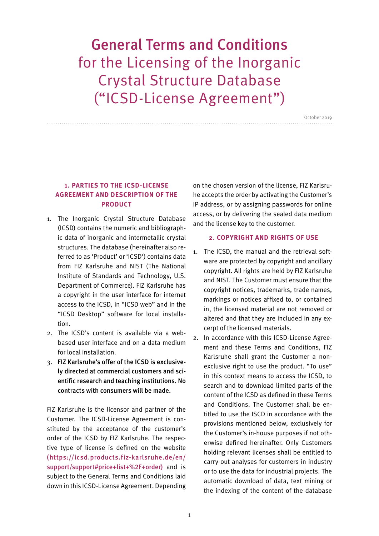# General Terms and Conditions for the Licensing of the Inorganic Crystal Structure Database ("ICSD-License Agreement")

October 2019

## **1. PARTIES TO THE ICSD-LICENSE AGREEMENT AND DESCRIPTION OF THE PRODUCT**

- 1. The Inorganic Crystal Structure Database (ICSD) contains the numeric and bibliographic data of inorganic and intermetallic crystal structures. The database (hereinafter also referred to as 'Product' or 'ICSD') contains data from FIZ Karlsruhe and NIST (The National Institute of Standards and Technology, U.S. Department of Commerce). FIZ Karlsruhe has a copyright in the user interface for internet access to the ICSD, in "ICSD web" and in the "ICSD Desktop" software for local installation.
- 2. The ICSD's content is available via a webbased user interface and on a data medium for local installation.
- 3. FIZ Karlsruhe's offer of the ICSD is exclusively directed at commercial customers and scientific research and teaching institutions. No contracts with consumers will be made.

FIZ Karlsruhe is the licensor and partner of the Customer. The ICSD-License Agreement is constituted by the acceptance of the customer's order of the ICSD by FIZ Karlsruhe. The respective type of license is defined on the website (https://icsd.products.fiz-karlsruhe.de/en/ support/support#price+list+%2F+order) and is subject to the General Terms and Conditions laid down in this ICSD-License Agreement. Depending

on the chosen version of the license, FIZ Karlsruhe accepts the order by activating the Customer's IP address, or by assigning passwords for online access, or by delivering the sealed data medium and the license key to the customer.

#### **2. COPYRIGHT AND RIGHTS OF USE**

- 1. The ICSD, the manual and the retrieval software are protected by copyright and ancillary copyright. All rights are held by FIZ Karlsruhe and NIST. The Customer must ensure that the copyright notices, trademarks, trade names, markings or notices affixed to, or contained in, the licensed material are not removed or altered and that they are included in any excerpt of the licensed materials.
- 2. In accordance with this ICSD-License Agreement and these Terms and Conditions, FIZ Karlsruhe shall grant the Customer a nonexclusive right to use the product. "To use" in this context means to access the ICSD, to search and to download limited parts of the content of the ICSD as defined in these Terms and Conditions. The Customer shall be entitled to use the ISCD in accordance with the provisions mentioned below, exclusively for the Customer's in-house purposes if not otherwise defined hereinafter. Only Customers holding relevant licenses shall be entitled to carry out analyses for customers in industry or to use the data for industrial projects. The automatic download of data, text mining or the indexing of the content of the database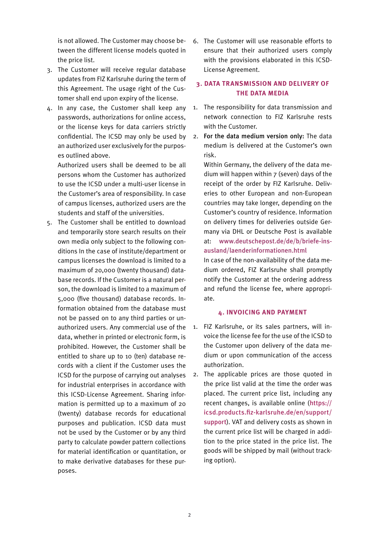is not allowed. The Customer may choose between the different license models quoted in the price list.

- 3. The Customer will receive regular database updates from FIZ Karlsruhe during the term of this Agreement. The usage right of the Customer shall end upon expiry of the license.
- 4. In any case, the Customer shall keep any passwords, authorizations for online access, or the license keys for data carriers strictly confidential. The ICSD may only be used by an authorized user exclusively for the purposes outlined above.

Authorized users shall be deemed to be all persons whom the Customer has authorized to use the ICSD under a multi-user license in the Customer's area of responsibility. In case of campus licenses, authorized users are the students and staff of the universities.

5. The Customer shall be entitled to download and temporarily store search results on their own media only subject to the following conditions In the case of institute/department or campus licenses the download is limited to a maximum of 20,000 (twenty thousand) database records. If the Customer is a natural person, the download is limited to a maximum of 5,000 (five thousand) database records. Information obtained from the database must not be passed on to any third parties or unauthorized users. Any commercial use of the data, whether in printed or electronic form, is prohibited. However, the Customer shall be entitled to share up to 10 (ten) database records with a client if the Customer uses the ICSD for the purpose of carrying out analyses for industrial enterprises in accordance with this ICSD-License Agreement. Sharing information is permitted up to a maximum of 20 (twenty) database records for educational purposes and publication. ICSD data must not be used by the Customer or by any third party to calculate powder pattern collections for material identification or quantitation, or to make derivative databases for these purposes.

6. The Customer will use reasonable efforts to ensure that their authorized users comply with the provisions elaborated in this ICSD-License Agreement.

## **3. DATA TRANSMISSION AND DELIVERY OF THE DATA MEDIA**

- 1. The responsibility for data transmission and network connection to FIZ Karlsruhe rests with the Customer.
- 2. For the data medium version only: The data medium is delivered at the Customer's own risk.

Within Germany, the delivery of the data medium will happen within 7 (seven) days of the receipt of the order by FIZ Karlsruhe. Deliveries to other European and non-European countries may take longer, depending on the Customer's country of residence. Information on delivery times for deliveries outside Germany via DHL or Deutsche Post is available at: www.deutschepost.de/de/b/briefe-insausland/laenderinformationen.html

In case of the non-availability of the data medium ordered, FIZ Karlsruhe shall promptly notify the Customer at the ordering address and refund the license fee, where appropriate.

## **4. INVOICING AND PAYMENT**

- 1. FIZ Karlsruhe, or its sales partners, will invoice the license fee for the use of the ICSD to the Customer upon delivery of the data medium or upon communication of the access authorization.
- 2. The applicable prices are those quoted in the price list valid at the time the order was placed. The current price list, including any recent changes, is available online (https:// icsd.products.fiz-karlsruhe.de/en/support/ support). VAT and delivery costs as shown in the current price list will be charged in addition to the price stated in the price list. The goods will be shipped by mail (without tracking option).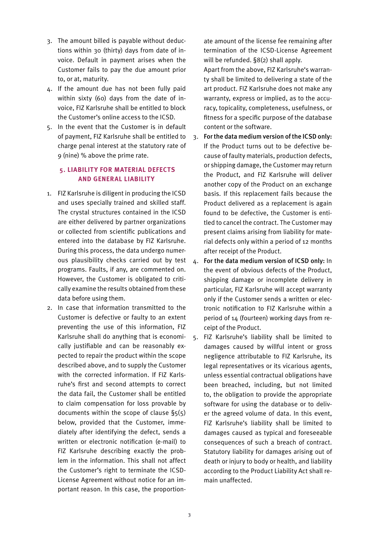- 3. The amount billed is payable without deductions within 30 (thirty) days from date of invoice. Default in payment arises when the Customer fails to pay the due amount prior to, or at, maturity.
- 4. If the amount due has not been fully paid within sixty (60) days from the date of invoice, FIZ Karlsruhe shall be entitled to block the Customer's online access to the ICSD.
- 5. In the event that the Customer is in default of payment, FIZ Karlsruhe shall be entitled to charge penal interest at the statutory rate of 9 (nine) % above the prime rate.

## **5. LIABILIT Y FOR MATERIAL DEFECTS AND GENERAL LIABILITY**

- 1. FIZ Karlsruhe is diligent in producing the ICSD and uses specially trained and skilled staff. The crystal structures contained in the ICSD are either delivered by partner organizations or collected from scientific publications and entered into the database by FIZ Karlsruhe. During this process, the data undergo numerous plausibility checks carried out by test programs. Faults, if any, are commented on. However, the Customer is obligated to critically examine the results obtained from these data before using them.
- 2. In case that information transmitted to the Customer is defective or faulty to an extent preventing the use of this information, FIZ Karlsruhe shall do anything that is economically justifiable and can be reasonably expected to repair the product within the scope described above, and to supply the Customer with the corrected information. If FIZ Karlsruhe's first and second attempts to correct the data fail, the Customer shall be entitled to claim compensation for loss provable by documents within the scope of clause §5(5) below, provided that the Customer, immediately after identifying the defect, sends a written or electronic notification (e-mail) to FIZ Karlsruhe describing exactly the problem in the information. This shall not affect the Customer's right to terminate the ICSD-License Agreement without notice for an important reason. In this case, the proportion-

ate amount of the license fee remaining after termination of the ICSD-License Agreement will be refunded. §8(2) shall apply.

Apart from the above, FIZ Karlsruhe's warranty shall be limited to delivering a state of the art product. FIZ Karlsruhe does not make any warranty, express or implied, as to the accuracy, topicality, completeness, usefulness, or fitness for a specific purpose of the database content or the software.

- 3. For the data medium version of the ICSD only: If the Product turns out to be defective because of faulty materials, production defects, or shipping damage, the Customer may return the Product, and FIZ Karlsruhe will deliver another copy of the Product on an exchange basis. If this replacement fails because the Product delivered as a replacement is again found to be defective, the Customer is entitled to cancel the contract. The Customer may present claims arising from liability for material defects only within a period of 12 months after receipt of the Product.
- 4. For the data medium version of ICSD only: In the event of obvious defects of the Product, shipping damage or incomplete delivery in particular, FIZ Karlsruhe will accept warranty only if the Customer sends a written or electronic notification to FIZ Karlsruhe within a period of 14 (fourteen) working days from receipt of the Product.
- 5. FIZ Karlsruhe's liability shall be limited to damages caused by willful intent or gross negligence attributable to FIZ Karlsruhe, its legal representatives or its vicarious agents, unless essential contractual obligations have been breached, including, but not limited to, the obligation to provide the appropriate software for using the database or to deliver the agreed volume of data. In this event, FIZ Karlsruhe's liability shall be limited to damages caused as typical and foreseeable consequences of such a breach of contract. Statutory liability for damages arising out of death or injury to body or health, and liability according to the Product Liability Act shall remain unaffected.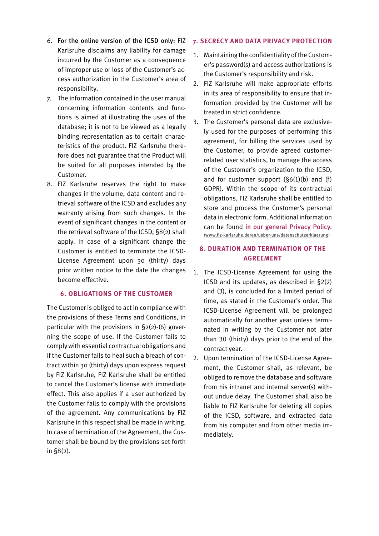- 6. For the online version of the ICSD only: FIZ Karlsruhe disclaims any liability for damage incurred by the Customer as a consequence of improper use or loss of the Customer's access authorization in the Customer's area of responsibility.
- 7. The information contained in the user manual concerning information contents and functions is aimed at illustrating the uses of the database; it is not to be viewed as a legally binding representation as to certain characteristics of the product. FIZ Karlsruhe therefore does not guarantee that the Product will be suited for all purposes intended by the Customer.
- 8. FIZ Karlsruhe reserves the right to make changes in the volume, data content and retrieval software of the ICSD and excludes any warranty arising from such changes. In the event of significant changes in the content or the retrieval software of the ICSD, §8(2) shall apply. In case of a significant change the Customer is entitled to terminate the ICSD-License Agreement upon 30 (thirty) days prior written notice to the date the changes become effective.

#### **6. OBLIGATIONS OF THE CUSTOMER**

The Customer is obliged to act in compliance with the provisions of these Terms and Conditions, in particular with the provisions in §2(2)-(6) governing the scope of use. If the Customer fails to comply with essential contractual obligations and if the Customer fails to heal such a breach of contract within 30 (thirty) days upon express request by FIZ Karlsruhe, FIZ Karlsruhe shall be entitled to cancel the Customer's license with immediate effect. This also applies if a user authorized by the Customer fails to comply with the provisions of the agreement. Any communications by FIZ Karlsruhe in this respect shall be made in writing. In case of termination of the Agreement, the Customer shall be bound by the provisions set forth in §8(2).

#### **7. SECRECY AND DATA PRIVACY PROTECTION**

- 1. Maintaining the confidentiality of the Customer's password(s) and access authorizations is the Customer's responsibility and risk.
- 2. FIZ Karlsruhe will make appropriate efforts in its area of responsibility to ensure that information provided by the Customer will be treated in strict confidence.
- 3. The Customer's personal data are exclusively used for the purposes of performing this agreement, for billing the services used by the Customer, to provide agreed customerrelated user statistics, to manage the access of the Customer's organization to the ICSD, and for customer support (§6(1)(b) and (f) GDPR). Within the scope of its contractual obligations, FIZ Karlsruhe shall be entitled to store and process the Customer's personal data in electronic form. Additional information can be found [in our general Privacy Policy](https://www.fiz-karlsruhe.de/en/ueber-uns/datenschutzerklaerung). ([www.fiz-karlsruhe.de/en/ueber-uns/datenschutzerklaerung](http://www.fiz-karlsruhe.de/en/ueber-uns/datenschutzerklaerung))

# **8. DURATION AND TERMINATION OF THE AGREEMENT**

- 1. The ICSD-License Agreement for using the ICSD and its updates, as described in §2(2) and (3), is concluded for a limited period of time, as stated in the Customer's order. The ICSD-License Agreement will be prolonged automatically for another year unless terminated in writing by the Customer not later than 30 (thirty) days prior to the end of the contract year.
- 2. Upon termination of the ICSD-License Agreement, the Customer shall, as relevant, be obliged to remove the database and software from his intranet and internal server(s) without undue delay. The Customer shall also be liable to FIZ Karlsruhe for deleting all copies of the ICSD, software, and extracted data from his computer and from other media immediately.